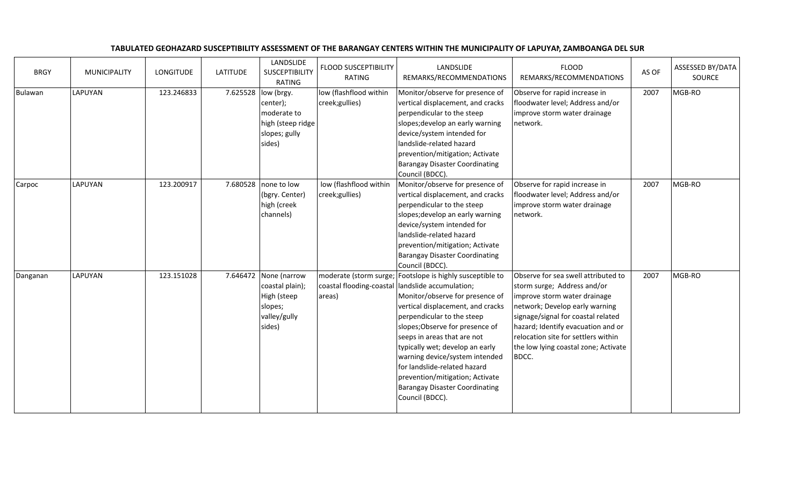| <b>BRGY</b> | <b>MUNICIPALITY</b> | <b>LONGITUDE</b> | <b>LATITUDE</b> | LANDSLIDE<br><b>SUSCEPTIBILITY</b><br><b>RATING</b>                                             | <b>FLOOD SUSCEPTIBILITY</b><br><b>RATING</b>                 | LANDSLIDE<br>REMARKS/RECOMMENDATIONS                                                                                                                                                                                                                                                                                                                                                                                                      | <b>FLOOD</b><br>REMARKS/RECOMMENDATIONS                                                                                                                                                                                                                                                                  | AS OF | ASSESSED BY/DATA<br>SOURCE |
|-------------|---------------------|------------------|-----------------|-------------------------------------------------------------------------------------------------|--------------------------------------------------------------|-------------------------------------------------------------------------------------------------------------------------------------------------------------------------------------------------------------------------------------------------------------------------------------------------------------------------------------------------------------------------------------------------------------------------------------------|----------------------------------------------------------------------------------------------------------------------------------------------------------------------------------------------------------------------------------------------------------------------------------------------------------|-------|----------------------------|
| Bulawan     | <b>LAPUYAN</b>      | 123.246833       |                 | 7.625528  low (brgy.<br>center);<br>moderate to<br>high (steep ridge<br>slopes; gully<br>sides) | low (flashflood within<br>creek;gullies)                     | Monitor/observe for presence of<br>vertical displacement, and cracks<br>perpendicular to the steep<br>slopes; develop an early warning<br>device/system intended for<br>landslide-related hazard<br>prevention/mitigation; Activate<br><b>Barangay Disaster Coordinating</b><br>Council (BDCC).                                                                                                                                           | Observe for rapid increase in<br>floodwater level; Address and/or<br>improve storm water drainage<br>network.                                                                                                                                                                                            | 2007  | MGB-RO                     |
| Carpoc      | LAPUYAN             | 123.200917       |                 | 7.680528 none to low<br>(bgry. Center)<br>high (creek<br>channels)                              | low (flashflood within<br>creek;gullies)                     | Monitor/observe for presence of<br>vertical displacement, and cracks<br>perpendicular to the steep<br>slopes; develop an early warning<br>device/system intended for<br>landslide-related hazard<br>prevention/mitigation; Activate<br><b>Barangay Disaster Coordinating</b><br>Council (BDCC).                                                                                                                                           | Observe for rapid increase in<br>floodwater level; Address and/or<br>improve storm water drainage<br>network.                                                                                                                                                                                            | 2007  | MGB-RO                     |
| Danganan    | <b>LAPUYAN</b>      | 123.151028       | 7.646472        | None (narrow<br>coastal plain);<br>High (steep<br>slopes;<br>valley/gully<br>sides)             | moderate (storm surge;<br>coastal flooding-coastal<br>areas) | Footslope is highly susceptible to<br>landslide accumulation;<br>Monitor/observe for presence of<br>vertical displacement, and cracks<br>perpendicular to the steep<br>slopes; Observe for presence of<br>seeps in areas that are not<br>typically wet; develop an early<br>warning device/system intended<br>for landslide-related hazard<br>prevention/mitigation; Activate<br><b>Barangay Disaster Coordinating</b><br>Council (BDCC). | Observe for sea swell attributed to<br>storm surge; Address and/or<br>improve storm water drainage<br>network; Develop early warning<br>signage/signal for coastal related<br>hazard; Identify evacuation and or<br>relocation site for settlers within<br>the low lying coastal zone; Activate<br>BDCC. | 2007  | MGB-RO                     |

## TABULATED GEOHAZARD SUSCEPTIBILITY ASSESSMENT OF THE BARANGAY CENTERS WITHIN THE MUNICIPALITY OF LAPUYAN, ZAMBOANGA DEL SUR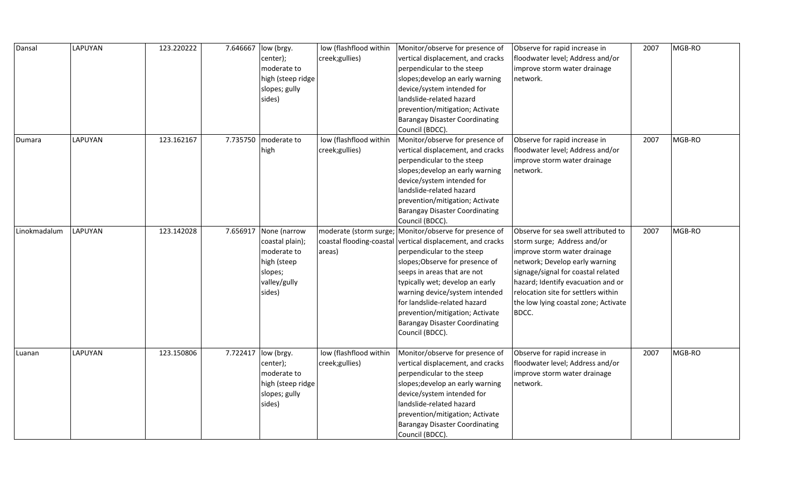| Dansal       | LAPUYAN | 123.220222 | 7.646667 | low (brgy.            | low (flashflood within | Monitor/observe for presence of                            | Observe for rapid increase in        | 2007 | MGB-RO |
|--------------|---------|------------|----------|-----------------------|------------------------|------------------------------------------------------------|--------------------------------------|------|--------|
|              |         |            |          | center);              | creek;gullies)         | vertical displacement, and cracks                          | floodwater level; Address and/or     |      |        |
|              |         |            |          | moderate to           |                        | perpendicular to the steep                                 | improve storm water drainage         |      |        |
|              |         |            |          | high (steep ridge     |                        | slopes; develop an early warning                           | network.                             |      |        |
|              |         |            |          | slopes; gully         |                        | device/system intended for                                 |                                      |      |        |
|              |         |            |          | sides)                |                        | landslide-related hazard                                   |                                      |      |        |
|              |         |            |          |                       |                        | prevention/mitigation; Activate                            |                                      |      |        |
|              |         |            |          |                       |                        | <b>Barangay Disaster Coordinating</b>                      |                                      |      |        |
|              |         |            |          |                       |                        | Council (BDCC).                                            |                                      |      |        |
| Dumara       | LAPUYAN | 123.162167 | 7.735750 | moderate to           | low (flashflood within | Monitor/observe for presence of                            | Observe for rapid increase in        | 2007 | MGB-RO |
|              |         |            |          | high                  | creek;gullies)         | vertical displacement, and cracks                          | floodwater level; Address and/or     |      |        |
|              |         |            |          |                       |                        | perpendicular to the steep                                 | improve storm water drainage         |      |        |
|              |         |            |          |                       |                        | slopes; develop an early warning                           | network.                             |      |        |
|              |         |            |          |                       |                        | device/system intended for                                 |                                      |      |        |
|              |         |            |          |                       |                        | landslide-related hazard                                   |                                      |      |        |
|              |         |            |          |                       |                        | prevention/mitigation; Activate                            |                                      |      |        |
|              |         |            |          |                       |                        | <b>Barangay Disaster Coordinating</b>                      |                                      |      |        |
|              |         |            |          |                       |                        | Council (BDCC).                                            |                                      |      |        |
| Linokmadalum | LAPUYAN | 123.142028 |          | 7.656917 None (narrow |                        | moderate (storm surge; Monitor/observe for presence of     | Observe for sea swell attributed to  | 2007 | MGB-RO |
|              |         |            |          | coastal plain);       |                        | coastal flooding-coastal vertical displacement, and cracks | storm surge; Address and/or          |      |        |
|              |         |            |          | moderate to           | areas)                 | perpendicular to the steep                                 | improve storm water drainage         |      |        |
|              |         |            |          | high (steep           |                        | slopes; Observe for presence of                            | network; Develop early warning       |      |        |
|              |         |            |          | slopes;               |                        | seeps in areas that are not                                | signage/signal for coastal related   |      |        |
|              |         |            |          | valley/gully          |                        | typically wet; develop an early                            | hazard; Identify evacuation and or   |      |        |
|              |         |            |          | sides)                |                        | warning device/system intended                             | relocation site for settlers within  |      |        |
|              |         |            |          |                       |                        | for landslide-related hazard                               | the low lying coastal zone; Activate |      |        |
|              |         |            |          |                       |                        | prevention/mitigation; Activate                            | BDCC.                                |      |        |
|              |         |            |          |                       |                        | <b>Barangay Disaster Coordinating</b>                      |                                      |      |        |
|              |         |            |          |                       |                        | Council (BDCC).                                            |                                      |      |        |
|              |         |            |          |                       |                        |                                                            |                                      |      |        |
| Luanan       | LAPUYAN | 123.150806 | 7.722417 | low (brgy.            | low (flashflood within | Monitor/observe for presence of                            | Observe for rapid increase in        | 2007 | MGB-RO |
|              |         |            |          | center);              | creek;gullies)         | vertical displacement, and cracks                          | floodwater level; Address and/or     |      |        |
|              |         |            |          | moderate to           |                        | perpendicular to the steep                                 | improve storm water drainage         |      |        |
|              |         |            |          | high (steep ridge     |                        | slopes; develop an early warning                           | network.                             |      |        |
|              |         |            |          | slopes; gully         |                        | device/system intended for                                 |                                      |      |        |
|              |         |            |          | sides)                |                        | landslide-related hazard                                   |                                      |      |        |
|              |         |            |          |                       |                        | prevention/mitigation; Activate                            |                                      |      |        |
|              |         |            |          |                       |                        | <b>Barangay Disaster Coordinating</b>                      |                                      |      |        |
|              |         |            |          |                       |                        | Council (BDCC).                                            |                                      |      |        |
|              |         |            |          |                       |                        |                                                            |                                      |      |        |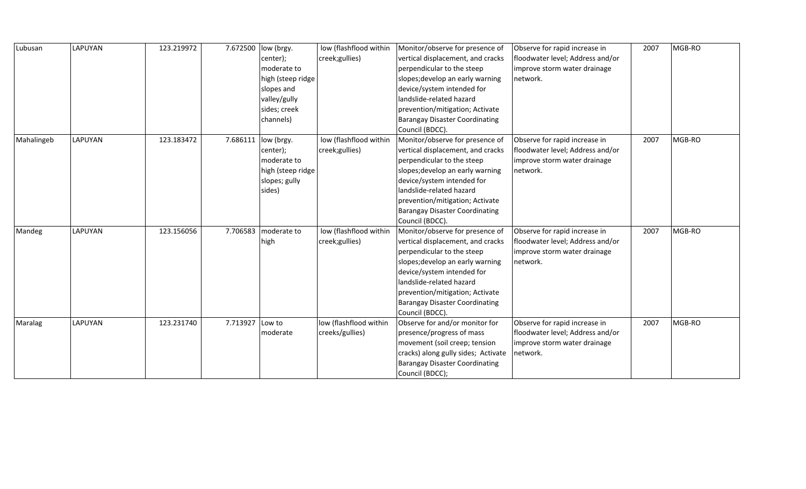| Lubusan    | <b>LAPUYAN</b> | 123.219972 | 7.672500 | low (brgy.            | low (flashflood within | Monitor/observe for presence of       | Observe for rapid increase in    | 2007 | MGB-RO |
|------------|----------------|------------|----------|-----------------------|------------------------|---------------------------------------|----------------------------------|------|--------|
|            |                |            |          | center);              | creek;gullies)         | vertical displacement, and cracks     | floodwater level; Address and/or |      |        |
|            |                |            |          | moderate to           |                        | perpendicular to the steep            | improve storm water drainage     |      |        |
|            |                |            |          | high (steep ridge     |                        | slopes; develop an early warning      | network.                         |      |        |
|            |                |            |          | slopes and            |                        | device/system intended for            |                                  |      |        |
|            |                |            |          | valley/gully          |                        | landslide-related hazard              |                                  |      |        |
|            |                |            |          | sides; creek          |                        | prevention/mitigation; Activate       |                                  |      |        |
|            |                |            |          | channels)             |                        | <b>Barangay Disaster Coordinating</b> |                                  |      |        |
|            |                |            |          |                       |                        | Council (BDCC).                       |                                  |      |        |
| Mahalingeb | <b>LAPUYAN</b> | 123.183472 |          | 7.686111   low (brgy. | low (flashflood within | Monitor/observe for presence of       | Observe for rapid increase in    | 2007 | MGB-RO |
|            |                |            |          | center);              | creek;gullies)         | vertical displacement, and cracks     | floodwater level; Address and/or |      |        |
|            |                |            |          | moderate to           |                        | perpendicular to the steep            | improve storm water drainage     |      |        |
|            |                |            |          | high (steep ridge     |                        | slopes; develop an early warning      | network.                         |      |        |
|            |                |            |          | slopes; gully         |                        | device/system intended for            |                                  |      |        |
|            |                |            |          | sides)                |                        | landslide-related hazard              |                                  |      |        |
|            |                |            |          |                       |                        | prevention/mitigation; Activate       |                                  |      |        |
|            |                |            |          |                       |                        | <b>Barangay Disaster Coordinating</b> |                                  |      |        |
|            |                |            |          |                       |                        | Council (BDCC).                       |                                  |      |        |
| Mandeg     | <b>LAPUYAN</b> | 123.156056 | 7.706583 | moderate to           | low (flashflood within | Monitor/observe for presence of       | Observe for rapid increase in    | 2007 | MGB-RO |
|            |                |            |          | high                  | creek;gullies)         | vertical displacement, and cracks     | floodwater level; Address and/or |      |        |
|            |                |            |          |                       |                        | perpendicular to the steep            | improve storm water drainage     |      |        |
|            |                |            |          |                       |                        | slopes; develop an early warning      | network.                         |      |        |
|            |                |            |          |                       |                        | device/system intended for            |                                  |      |        |
|            |                |            |          |                       |                        | landslide-related hazard              |                                  |      |        |
|            |                |            |          |                       |                        | prevention/mitigation; Activate       |                                  |      |        |
|            |                |            |          |                       |                        | <b>Barangay Disaster Coordinating</b> |                                  |      |        |
|            |                |            |          |                       |                        | Council (BDCC).                       |                                  |      |        |
| Maralag    | LAPUYAN        | 123.231740 | 7.713927 | Low to                | low (flashflood within | Observe for and/or monitor for        | Observe for rapid increase in    | 2007 | MGB-RO |
|            |                |            |          | moderate              | creeks/gullies)        | presence/progress of mass             | floodwater level; Address and/or |      |        |
|            |                |            |          |                       |                        | movement (soil creep; tension         | improve storm water drainage     |      |        |
|            |                |            |          |                       |                        | cracks) along gully sides; Activate   | network.                         |      |        |
|            |                |            |          |                       |                        | <b>Barangay Disaster Coordinating</b> |                                  |      |        |
|            |                |            |          |                       |                        | Council (BDCC);                       |                                  |      |        |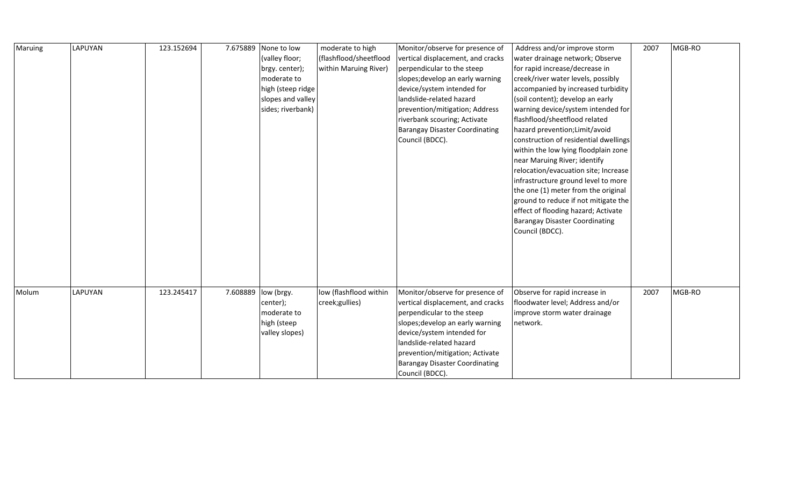| Maruing | <b>LAPUYAN</b> | 123.152694 | 7.675889 None to low<br>(valley floor;<br>brgy. center);<br>moderate to<br>high (steep ridge<br>slopes and valley<br>sides; riverbank) | moderate to high<br>(flashflood/sheetflood<br>within Maruing River) | Monitor/observe for presence of<br>vertical displacement, and cracks<br>perpendicular to the steep<br>slopes; develop an early warning<br>device/system intended for<br>landslide-related hazard<br>prevention/mitigation; Address<br>riverbank scouring; Activate<br><b>Barangay Disaster Coordinating</b><br>Council (BDCC). | Address and/or improve storm<br>water drainage network; Observe<br>for rapid increase/decrease in<br>creek/river water levels, possibly<br>accompanied by increased turbidity<br>(soil content); develop an early<br>warning device/system intended for<br>flashflood/sheetflood related<br>hazard prevention; Limit/avoid<br>construction of residential dwellings<br>within the low lying floodplain zone<br>near Maruing River; identify<br>relocation/evacuation site; Increase<br>infrastructure ground level to more<br>the one (1) meter from the original<br>ground to reduce if not mitigate the | 2007 | MGB-RO |
|---------|----------------|------------|----------------------------------------------------------------------------------------------------------------------------------------|---------------------------------------------------------------------|--------------------------------------------------------------------------------------------------------------------------------------------------------------------------------------------------------------------------------------------------------------------------------------------------------------------------------|-----------------------------------------------------------------------------------------------------------------------------------------------------------------------------------------------------------------------------------------------------------------------------------------------------------------------------------------------------------------------------------------------------------------------------------------------------------------------------------------------------------------------------------------------------------------------------------------------------------|------|--------|
|         |                |            |                                                                                                                                        |                                                                     |                                                                                                                                                                                                                                                                                                                                | effect of flooding hazard; Activate<br><b>Barangay Disaster Coordinating</b><br>Council (BDCC).                                                                                                                                                                                                                                                                                                                                                                                                                                                                                                           |      |        |
| Molum   | LAPUYAN        | 123.245417 | 7.608889  low (brgy.<br>center);<br>moderate to<br>high (steep<br>valley slopes)                                                       | low (flashflood within<br>creek;gullies)                            | Monitor/observe for presence of<br>vertical displacement, and cracks<br>perpendicular to the steep<br>slopes; develop an early warning<br>device/system intended for<br>landslide-related hazard<br>prevention/mitigation; Activate<br><b>Barangay Disaster Coordinating</b><br>Council (BDCC).                                | Observe for rapid increase in<br>floodwater level; Address and/or<br>improve storm water drainage<br>network.                                                                                                                                                                                                                                                                                                                                                                                                                                                                                             | 2007 | MGB-RO |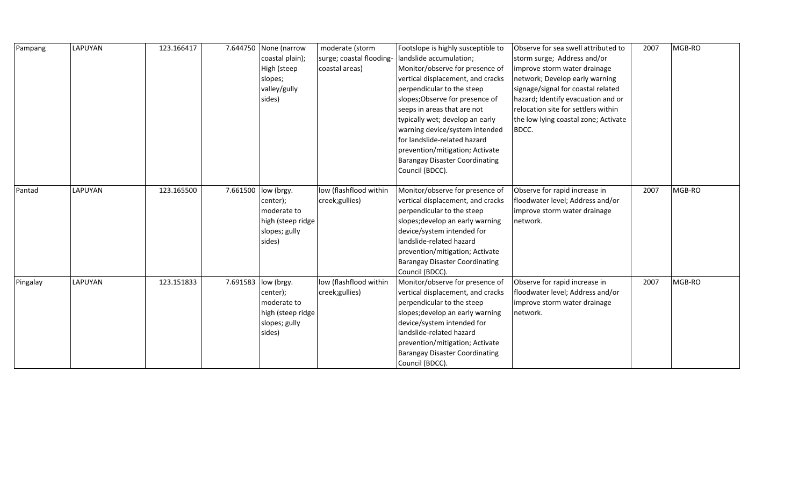| Pampang  | LAPUYAN | 123.166417 | 7.644750 None (narrow | moderate (storm          | Footslope is highly susceptible to    | Observe for sea swell attributed to  | 2007 | MGB-RO |
|----------|---------|------------|-----------------------|--------------------------|---------------------------------------|--------------------------------------|------|--------|
|          |         |            | coastal plain);       | surge; coastal flooding- | landslide accumulation;               | storm surge; Address and/or          |      |        |
|          |         |            | High (steep           | coastal areas)           | Monitor/observe for presence of       | improve storm water drainage         |      |        |
|          |         |            | slopes;               |                          | vertical displacement, and cracks     | network; Develop early warning       |      |        |
|          |         |            | valley/gully          |                          | perpendicular to the steep            | signage/signal for coastal related   |      |        |
|          |         |            | sides)                |                          | slopes; Observe for presence of       | hazard; Identify evacuation and or   |      |        |
|          |         |            |                       |                          | seeps in areas that are not           | relocation site for settlers within  |      |        |
|          |         |            |                       |                          | typically wet; develop an early       | the low lying coastal zone; Activate |      |        |
|          |         |            |                       |                          | warning device/system intended        | BDCC.                                |      |        |
|          |         |            |                       |                          | for landslide-related hazard          |                                      |      |        |
|          |         |            |                       |                          | prevention/mitigation; Activate       |                                      |      |        |
|          |         |            |                       |                          | <b>Barangay Disaster Coordinating</b> |                                      |      |        |
|          |         |            |                       |                          | Council (BDCC).                       |                                      |      |        |
|          |         |            |                       |                          |                                       |                                      |      |        |
| Pantad   | LAPUYAN | 123.165500 | 7.661500 low (brgy.   | low (flashflood within   | Monitor/observe for presence of       | Observe for rapid increase in        | 2007 | MGB-RO |
|          |         |            | center);              | creek;gullies)           | vertical displacement, and cracks     | floodwater level; Address and/or     |      |        |
|          |         |            | moderate to           |                          | perpendicular to the steep            | improve storm water drainage         |      |        |
|          |         |            | high (steep ridge     |                          | slopes; develop an early warning      | network.                             |      |        |
|          |         |            | slopes; gully         |                          | device/system intended for            |                                      |      |        |
|          |         |            | sides)                |                          | landslide-related hazard              |                                      |      |        |
|          |         |            |                       |                          | prevention/mitigation; Activate       |                                      |      |        |
|          |         |            |                       |                          | Barangay Disaster Coordinating        |                                      |      |        |
|          |         |            |                       |                          | Council (BDCC).                       |                                      |      |        |
| Pingalay | LAPUYAN | 123.151833 | 7.691583  low (brgy.  | low (flashflood within   | Monitor/observe for presence of       | Observe for rapid increase in        | 2007 | MGB-RO |
|          |         |            | center);              | creek;gullies)           | vertical displacement, and cracks     | floodwater level; Address and/or     |      |        |
|          |         |            | moderate to           |                          | perpendicular to the steep            | improve storm water drainage         |      |        |
|          |         |            | high (steep ridge     |                          | slopes; develop an early warning      | network.                             |      |        |
|          |         |            | slopes; gully         |                          | device/system intended for            |                                      |      |        |
|          |         |            | sides)                |                          | landslide-related hazard              |                                      |      |        |
|          |         |            |                       |                          | prevention/mitigation; Activate       |                                      |      |        |
|          |         |            |                       |                          | <b>Barangay Disaster Coordinating</b> |                                      |      |        |
|          |         |            |                       |                          | Council (BDCC).                       |                                      |      |        |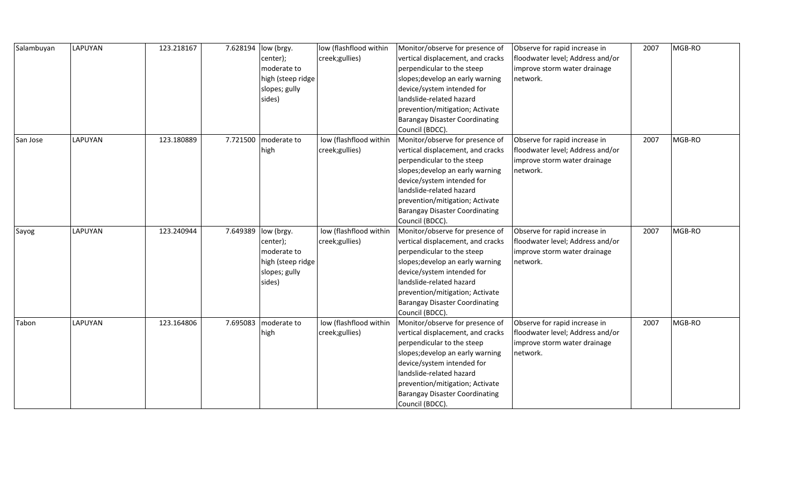| Salambuyan | LAPUYAN | 123.218167 | 7.628194 | low (brgy.        | low (flashflood within | Monitor/observe for presence of       | Observe for rapid increase in    | 2007 | MGB-RO |
|------------|---------|------------|----------|-------------------|------------------------|---------------------------------------|----------------------------------|------|--------|
|            |         |            |          | center);          | creek;gullies)         | vertical displacement, and cracks     | floodwater level; Address and/or |      |        |
|            |         |            |          | moderate to       |                        | perpendicular to the steep            | improve storm water drainage     |      |        |
|            |         |            |          | high (steep ridge |                        | slopes; develop an early warning      | network.                         |      |        |
|            |         |            |          | slopes; gully     |                        | device/system intended for            |                                  |      |        |
|            |         |            |          | sides)            |                        | landslide-related hazard              |                                  |      |        |
|            |         |            |          |                   |                        | prevention/mitigation; Activate       |                                  |      |        |
|            |         |            |          |                   |                        | <b>Barangay Disaster Coordinating</b> |                                  |      |        |
|            |         |            |          |                   |                        | Council (BDCC).                       |                                  |      |        |
| San Jose   | LAPUYAN | 123.180889 | 7.721500 | moderate to       | low (flashflood within | Monitor/observe for presence of       | Observe for rapid increase in    | 2007 | MGB-RO |
|            |         |            |          | high              | creek;gullies)         | vertical displacement, and cracks     | floodwater level; Address and/or |      |        |
|            |         |            |          |                   |                        | perpendicular to the steep            | improve storm water drainage     |      |        |
|            |         |            |          |                   |                        | slopes; develop an early warning      | network.                         |      |        |
|            |         |            |          |                   |                        | device/system intended for            |                                  |      |        |
|            |         |            |          |                   |                        | landslide-related hazard              |                                  |      |        |
|            |         |            |          |                   |                        | prevention/mitigation; Activate       |                                  |      |        |
|            |         |            |          |                   |                        | <b>Barangay Disaster Coordinating</b> |                                  |      |        |
|            |         |            |          |                   |                        | Council (BDCC).                       |                                  |      |        |
| Sayog      | LAPUYAN | 123.240944 | 7.649389 | low (brgy.        | low (flashflood within | Monitor/observe for presence of       | Observe for rapid increase in    | 2007 | MGB-RO |
|            |         |            |          | center);          | creek;gullies)         | vertical displacement, and cracks     | floodwater level; Address and/or |      |        |
|            |         |            |          | moderate to       |                        | perpendicular to the steep            | improve storm water drainage     |      |        |
|            |         |            |          | high (steep ridge |                        | slopes; develop an early warning      | network.                         |      |        |
|            |         |            |          | slopes; gully     |                        | device/system intended for            |                                  |      |        |
|            |         |            |          | sides)            |                        | landslide-related hazard              |                                  |      |        |
|            |         |            |          |                   |                        | prevention/mitigation; Activate       |                                  |      |        |
|            |         |            |          |                   |                        | <b>Barangay Disaster Coordinating</b> |                                  |      |        |
|            |         |            |          |                   |                        | Council (BDCC).                       |                                  |      |        |
| Tabon      | LAPUYAN | 123.164806 | 7.695083 | moderate to       | low (flashflood within | Monitor/observe for presence of       | Observe for rapid increase in    | 2007 | MGB-RO |
|            |         |            |          | high              | creek;gullies)         | vertical displacement, and cracks     | floodwater level; Address and/or |      |        |
|            |         |            |          |                   |                        | perpendicular to the steep            | improve storm water drainage     |      |        |
|            |         |            |          |                   |                        | slopes; develop an early warning      | network.                         |      |        |
|            |         |            |          |                   |                        | device/system intended for            |                                  |      |        |
|            |         |            |          |                   |                        | landslide-related hazard              |                                  |      |        |
|            |         |            |          |                   |                        | prevention/mitigation; Activate       |                                  |      |        |
|            |         |            |          |                   |                        | <b>Barangay Disaster Coordinating</b> |                                  |      |        |
|            |         |            |          |                   |                        | Council (BDCC).                       |                                  |      |        |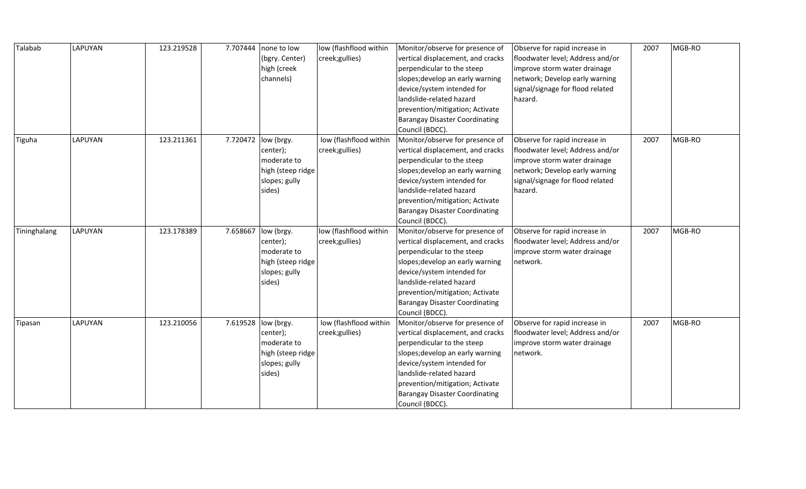| Talabab      | LAPUYAN | 123.219528 | 7.707444 | none to low         | low (flashflood within | Monitor/observe for presence of       | Observe for rapid increase in    | 2007 | MGB-RO |
|--------------|---------|------------|----------|---------------------|------------------------|---------------------------------------|----------------------------------|------|--------|
|              |         |            |          | (bgry. Center)      | creek;gullies)         | vertical displacement, and cracks     | floodwater level; Address and/or |      |        |
|              |         |            |          | high (creek         |                        | perpendicular to the steep            | improve storm water drainage     |      |        |
|              |         |            |          | channels)           |                        | slopes; develop an early warning      | network; Develop early warning   |      |        |
|              |         |            |          |                     |                        | device/system intended for            | signal/signage for flood related |      |        |
|              |         |            |          |                     |                        | landslide-related hazard              | hazard.                          |      |        |
|              |         |            |          |                     |                        | prevention/mitigation; Activate       |                                  |      |        |
|              |         |            |          |                     |                        | <b>Barangay Disaster Coordinating</b> |                                  |      |        |
|              |         |            |          |                     |                        | Council (BDCC).                       |                                  |      |        |
| Tiguha       | LAPUYAN | 123.211361 |          | 7.720472 low (brgy. | low (flashflood within | Monitor/observe for presence of       | Observe for rapid increase in    | 2007 | MGB-RO |
|              |         |            |          | center);            | creek;gullies)         | vertical displacement, and cracks     | floodwater level; Address and/or |      |        |
|              |         |            |          | moderate to         |                        | perpendicular to the steep            | improve storm water drainage     |      |        |
|              |         |            |          | high (steep ridge   |                        | slopes; develop an early warning      | network; Develop early warning   |      |        |
|              |         |            |          | slopes; gully       |                        | device/system intended for            | signal/signage for flood related |      |        |
|              |         |            |          | sides)              |                        | landslide-related hazard              | hazard.                          |      |        |
|              |         |            |          |                     |                        | prevention/mitigation; Activate       |                                  |      |        |
|              |         |            |          |                     |                        | <b>Barangay Disaster Coordinating</b> |                                  |      |        |
|              |         |            |          |                     |                        | Council (BDCC).                       |                                  |      |        |
| Tininghalang | LAPUYAN | 123.178389 | 7.658667 | low (brgy.          | low (flashflood within | Monitor/observe for presence of       | Observe for rapid increase in    | 2007 | MGB-RO |
|              |         |            |          | center);            | creek; gullies)        | vertical displacement, and cracks     | floodwater level; Address and/or |      |        |
|              |         |            |          | moderate to         |                        | perpendicular to the steep            | improve storm water drainage     |      |        |
|              |         |            |          | high (steep ridge   |                        | slopes; develop an early warning      | network.                         |      |        |
|              |         |            |          | slopes; gully       |                        | device/system intended for            |                                  |      |        |
|              |         |            |          | sides)              |                        | landslide-related hazard              |                                  |      |        |
|              |         |            |          |                     |                        | prevention/mitigation; Activate       |                                  |      |        |
|              |         |            |          |                     |                        | <b>Barangay Disaster Coordinating</b> |                                  |      |        |
|              |         |            |          |                     |                        | Council (BDCC).                       |                                  |      |        |
| Tipasan      | LAPUYAN | 123.210056 | 7.619528 | low (brgy.          | low (flashflood within | Monitor/observe for presence of       | Observe for rapid increase in    | 2007 | MGB-RO |
|              |         |            |          | center);            | creek; gullies)        | vertical displacement, and cracks     | floodwater level; Address and/or |      |        |
|              |         |            |          | moderate to         |                        | perpendicular to the steep            | improve storm water drainage     |      |        |
|              |         |            |          | high (steep ridge   |                        | slopes; develop an early warning      | network.                         |      |        |
|              |         |            |          | slopes; gully       |                        | device/system intended for            |                                  |      |        |
|              |         |            |          | sides)              |                        | landslide-related hazard              |                                  |      |        |
|              |         |            |          |                     |                        | prevention/mitigation; Activate       |                                  |      |        |
|              |         |            |          |                     |                        | <b>Barangay Disaster Coordinating</b> |                                  |      |        |
|              |         |            |          |                     |                        | Council (BDCC).                       |                                  |      |        |